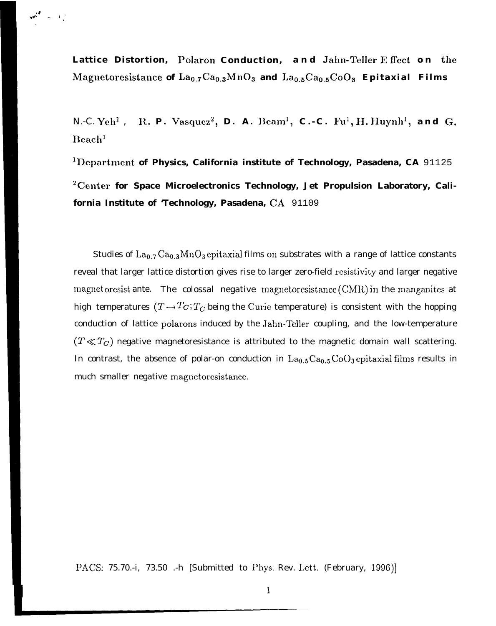**Lattice Distortion, Polaron Conduction, and Jahn-TelIer E, ffect o n the** Magnetoresistance of La<sub>0.7</sub>Ca<sub>0.3</sub>MnO<sub>3</sub> and La<sub>0.5</sub>Ca<sub>0.5</sub>CoO<sub>3</sub> Epitaxial Films

*N.-C.* Yeh<sup>1</sup>, **R. P.** Vasquez<sup>2</sup>, D. A. Beam<sup>1</sup>, C.-C. Fu<sup>1</sup>, H. Huynh<sup>1</sup>, and G. **IIeach]**

**lDepartment of Physics, California institute of Technology, Pasadena, CA** 91125 <sup>2</sup> Center for Space Microelectronics Technology, Jet Propulsion Laboratory, Cali**fornia Institute of 'Technology, Pasadena, CA** 91109

Studies of  $La_{0.7} Ca_{0.3} MnO_3$  epitaxial films on substrates with a range of lattice constants reveal that larger lattice distortion gives rise to larger zero-field resistivity and larger negative magnet oresist ante. The colossal negative magnet oresistance  $(CMR)$  in the manganites at high temperatures  $(T \rightarrow T_c; T_c$  being the Curie temperature) is consistent with the hopping conduction of lattice polarons induced by the Jahn-Teller coupling, and the low-temperature  $(T \ll T_C)$  negative magnetoresistance is attributed to the magnetic domain wall scattering. In contrast, the absence of polar-on conduction in  $La_{0.5}Ca_{0.5}CoO_3$  epitaxial films results in much smaller negative magnetoresistance.

PACS: 75.70.-i, 73.50 .-h [Submitted to Phys. Rev. Lett. (February, 1996)]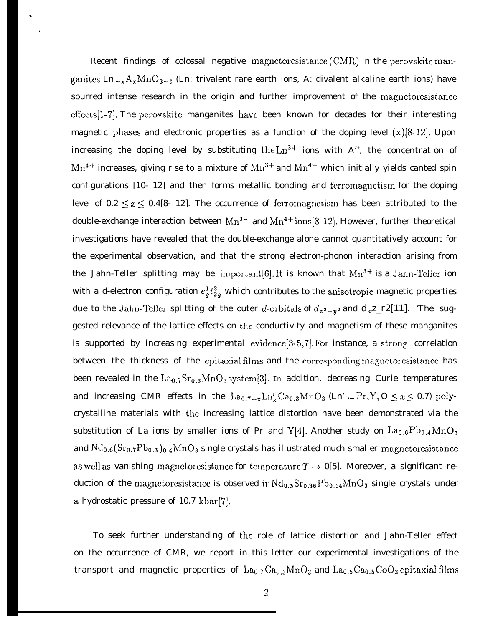Recent findings of colossal negative magnetoresistance  $(CMR)$  in the perovskite manganites  $\text{Ln}_{1-x}\text{A}_{x}\text{MnO}_{3-6}$  (Ln: trivalent rare earth ions, A: divalent alkaline earth ions) have spurred intense research in the origin and further improvement of the magnctoresistance effccts[l-7]. The perovskite manganites have been known for decades for their interesting magnetic phases and electronic properties as a function of the doping level *(x)[8-12].* Upon increasing the doping level by substituting the Ln<sup>3+</sup> ions with  $A^{2+}$ , the concentration of  $Mn^{4+}$  increases, giving rise to a mixture of  $Mn^{3+}$  and  $Mn^{4+}$  which initially yields canted spin configurations [10- 12] and then forms metallic bonding and ferromagnetism for the doping level of  $0.2 \le x \le 0.4$ [8-12]. The occurrence of ferromagnetism has been attributed to the double-exchange interaction between  $Mn^{3+}$  and  $Mn^{4+}$  ions[8-12]. However, further theoretical investigations have revealed that the double-exchange alone cannot quantitatively account for the experimental observation, and that the strong electron-phonon interaction arising from the Jahn-Teller splitting may be important [6]. It is known that  $Mn^{3+}$  is a Jahn-Teller ion with a d-electron configuration  $e^1_j t^3_{2g}$  which contributes to the anisotropic magnetic properties due to the Jahn-Teller splitting of the outer *d*-orbitals of  $d_xz_{-y}$  and  $d_zz_{-r}z[11]$ . The suggested relevance of the lattice effects on the conductivity and magnetism of these manganites is supported by increasing experimental evidence  $[3-5,7]$ . For instance, a strong correlation between the thickness of the epitaxial films and the corresponding magnetoresistance has been revealed in the  $\text{La}_{0.7}\text{Sr}_{0.3}\text{MnO}_3$  system[3]. In addition, decreasing Curie temperatures and increasing CMR effects in the  $La_{0.7-x} \text{Ln}_x' \text{Ca}_{0.3} \text{MnO}_3$  (Ln' = Pr, Y, O  $\leq x \leq 0.7$ ) polycrystalline materials with the increasing lattice distortion have been demonstrated via the substitution of La ions by smaller ions of Pr and Y[4]. Another study on  $La_{0.6}Pb_{0.4}MnO_3$ and  $Nd_{0.6}(Sr_{0.7}Pb_{0.3})_{0.4}MnO_3$  single crystals has illustrated much smaller magnetoresistance as well as vanishing magnetoresistance for temperature  $T \rightarrow 0[5]$ . Moreover, a significant reduction of the magnetoresistance is observed in  $Nd_{0.5}Sr_{0.36}Pb_{0.14}MnO_3$  single crystals under a. hydrostatic pressure of 10.7 kbar[7].

To seek further understanding of the role of lattice distortion and Jahn-Teller effect on the occurrence of CMR, we report in this letter our experimental investigations of the transport and magnetic properties of  $La_{0.7}Ca_{0.3}MnO_3$  and  $La_{0.5}Ca_{0.5}CoO_3$  epitaxial films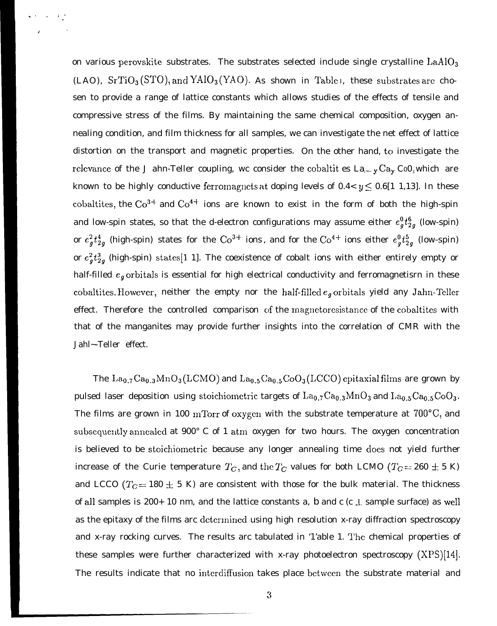on various perovskite substrates. The substrates selected include single crystalline  $LaAlO<sub>3</sub>$ (LAO),  $SrTiO<sub>3</sub>(STO)$ , and  $YAlO<sub>3</sub>(YAO)$ . As shown in Table I, these substrates are chosen to provide a range of lattice constants which allows studies of the effects of tensile and compressive stress of the films. By maintaining the same chemical composition, oxygen annealing condition, and film thickness for all samples, we can investigate the net effect of lattice distortion on the transport and magnetic properties. On the other hand, to investigate the relevance of the J ahn-Teller coupling, wc consider the cobaltit es  $La_{i}-y Ca_{i} Co0_{i}$  which are known to be highly conductive ferromagnets at doping levels of  $0.4 < y \le 0.6$ [1 1,13]. In these cobaltites, the  $Co^{3+}$  and  $Co^{4+}$  ions are known to exist in the form of both the high-spin and low-spin states, so that the d-electron configurations may assume either  $e^0_q t^6_{2q}$  (low-spin) or  $e^2_g t^4_{2g}$  (high-spin) states for the Co<sup>3+</sup> ions, and for the Co<sup>4+</sup> ions either  $e^0_g t^5_{2g}$  (low-spin) or  $e_g^2t_{2g}^3$  (high-spin) states[1 1]. The coexistence of cobalt ions with either entirely empty or half-filled  $e_g$  orbitals is essential for high electrical conductivity and ferromagnetisrn in these cobaltites. However, neither the empty nor the half-filled  $e_q$  orbitals yield any Jahn-Teller effect. Therefore the controlled comparison of the magnetoresistance of the cobaltites with that of the manganites may provide further insights into the correlation of CMR with the Jahl~-Teller effect.

The  $La_{0.7}Ca_{0.3}MnO_3(LCMO)$  and  $La_{0.5}Ca_{0.5}CoO_3(LCCO)$  epitaxial films are grown by pulsed laser deposition using stoichiometric targets of  $La_{0.7}Ca_{0.3}MnO_3$  and  $La_{0.5}Ca_{0.5}CoO_3$ . The films are grown in 100 mTorr of oxygen with the substrate temperature at  $700^{\circ}$ C, and subsequently annealed at  $900\degree$  C of 1 atm oxygen for two hours. The oxygen concentration is believed to be stoichiometric because any longer annealing time does not yield further increase of the Curie temperature  $T_{C}$ , and the  $T_{C}$  values for both LCMO ( $T_{C} = 260 \pm 5$  K) and LCCO ( $T_c = 180 \pm 5$  K) are consistent with those for the bulk material. The thickness of all samples is 200+ 10 nm, and the lattice constants a, b and c (c  $\perp$  sample surface) as well as the epitaxy of the films arc determined using high resolution x-ray diffraction spectroscopy and x-ray rocking curves. The results arc tabulated in '1'able 1. The chemical properties of these samples were further characterized with x-ray photoelectron spectroscopy  $(XPS)[14]$ . The results indicate that no interdiffusion takes place bctwccn the substrate material and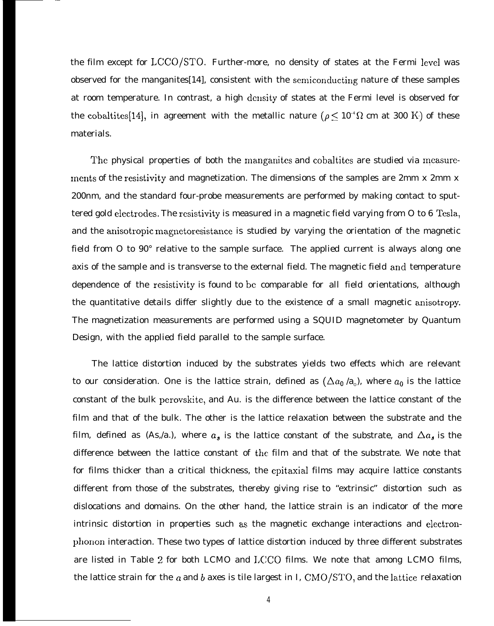the film except for LCCO/STO. Further-more, no density of states at the Fermi level was observed for the manganites[14], consistent with the semiconducting nature of these samples at room temperature. In contrast, a high density of states at the Fermi level is observed for the cobaltites[14], in agreement with the metallic nature ( $\rho \le 10^{-4} \Omega$  cm at 300 K) of these materials.

The physical properties of both the manganites and cobaltites are studied via measurements of the resistivity and magnetization. The dimensions of the samples are 2mm x 2mm x 200nm, and the standard four-probe measurements are performed by making contact to sputtered gold electrodes. The resistivity is measured in a magnetic field varying from O to 6 Tesla, and the anisotropic magnetoresistance is studied by varying the orientation of the magnetic field from O to 90° relative to the sample surface. The applied current is always along one axis of the sample and is transverse to the external field. The magnetic field and temperature dependence of the resistivity is found to bc comparable for all field orientations, although the quantitative details differ slightly due to the existence of a small magnetic anisotropy. The magnetization measurements are performed using a SQUID magnetometer by Quantum Design, with the applied field parallel to the sample surface.

The lattice distortion induced by the substrates yields two effects which are relevant to our consideration. One is the lattice strain, defined as  $(\Delta a_{\text{0}}\,{}'^{}\text{a}_{\text{o}})$ , where  $a_{\text{0}}$  is the lattice constant of the bulk perovskite, and Au. is the difference between the lattice constant of the film and that of the bulk. The other is the lattice relaxation between the substrate and the film, defined as (As,/a.), where  $a_s$  is the lattice constant of the substrate, and  $\Delta a_s$  is the difference between the lattice constant of the film and that of the substrate. We note that for films thicker than a critical thickness, the epitaxial films may acquire lattice constants different from those of the substrates, thereby giving rise to "extrinsic" distortion such as dislocations and domains. On the other hand, the lattice strain is an indicator of the more intrinsic distortion in properties such as the magnetic exchange interactions and electronphonon interaction. These two types of lattice distortion induced by three different substrates are listed in Table 2 for both LCMO and I,CCO films. We note that among LCMO films, the lattice strain for the  $a$  and  $b$  axes is tile largest in I, CMO/STO, and the lattice relaxation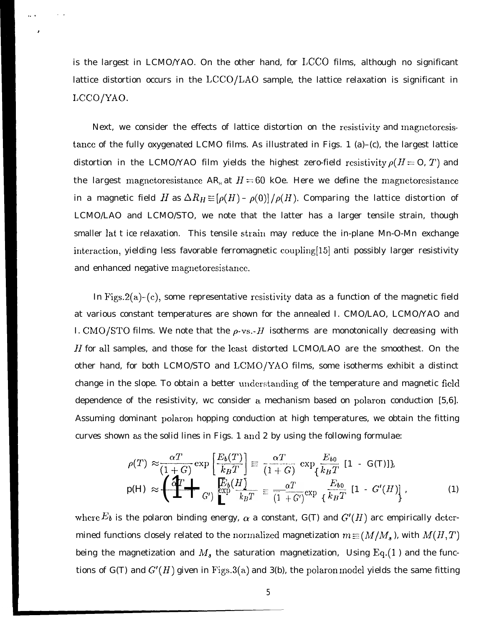is the largest in LCMO/YAO. On the other hand, for LCCO films, although no significant lattice distortion occurs in the  $LCCO/LAO$  sample, the lattice relaxation is significant in LCCO/YAO.

,. !

.,

Next, we consider the effects of lattice distortion on the resistivity and magnetoresistancc of the fully oxygenated LCMO films. As illustrated in Figs. 1 (a)–(c), the largest lattice distortion in the LCMO/YAO film yields the highest zero-field resistivity  $\rho(H = 0, T)$  and the largest magnetoresistance AR<sub>H</sub> at  $H = 60$  kOe. Here we define the magnetoresistance in a magnetic field H as  $\Delta R_H \equiv [\rho(H) - \rho(0)] / \rho(H)$ . Comparing the lattice distortion of LCMO/LAO and LCMO/STO, we note that the latter has a larger tensile strain, though smaller lat t ice relaxation. This tensile strain may reduce the in-plane Mn-O-Mn exchange interaction, yielding less favorable ferromagnetic coupling[15] anti possibly larger resistivity and enhanced negative magnetoresistance.

In Figs.  $2(a)$ -(c), some representative resistivity data as a function of the magnetic field at various constant temperatures are shown for the annealed I. CMO/LAO, LCMO/YAO and I. CMO/STO films. We note that the  $\rho$ -vs.- $H$  isotherms are monotonically decreasing with  $H$  for all samples, and those for the least distorted LCMO/LAO are the smoothest. On the other hand, for both LCMO/STO and LCMO/YAO films, some isotherms exhibit a distinct change in the slope. To obtain a better understanding of the temperature and magnetic field dependence of the resistivity, wc consider a mechanism based on polaron conduction [5,6]. Assuming dominant polaron hopping conduction at high temperatures, we obtain the fitting curves shown as the solid lines in Figs. 1 and 2 by using the following formulae:

n as the solid lines in Figs. 1 and 2 by using the following formulae:  
\n
$$
\rho(T) \approx \frac{\alpha T}{(1+G)} \exp\left[\frac{E_b(T)}{k_B T}\right] \equiv \frac{\alpha T}{(1+G)} \exp\left\{\frac{E_{b0}}{k_B T} [1 - G(T)]\right\},
$$
\n
$$
p(H) \approx \left(\prod_{i=1}^{n} \prod_{j=1}^{n} \exp\left(\frac{E_b(T)}{k_B T}\right)\right) \equiv \frac{\alpha T}{(1+G')} \exp\left\{\frac{E_{b0}}{k_B T} [1 - G'(H)]\right\},
$$
\n(1)

where  $E_b$  is the polaron binding energy,  $\alpha$  a constant, G(T) and  $G'(H)$  arc empirically determined functions closely related to the normalized magnetization  $m \equiv (M/M_s)$ , with  $M(H, T)$ being the magnetization and  $M_{\rm \bf s}$  the saturation magnetization, Using Eq.(1) and the functions of G(T) and  $G'(H)$  given in Figs.3(a) and 3(b), the polaron model yields the same fitting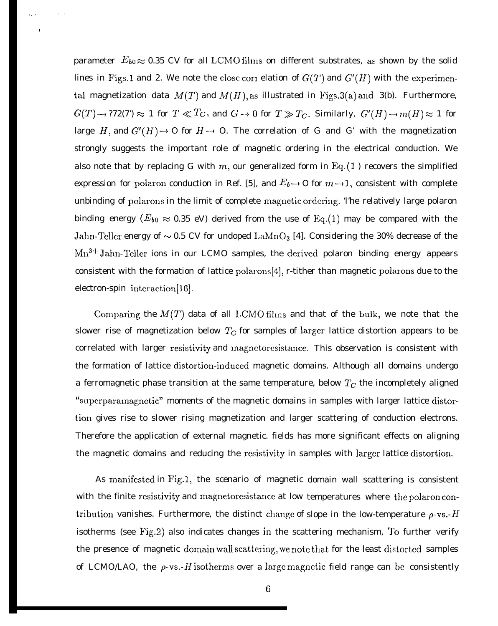parameter  $E_{b0} \approx 0.35$  CV for all LCMO films on different substrates, as shown by the solid lines in Figs.1 and 2. We note the close corr elation of  $G(T)$  and  $G'(H)$  with the experimental magnetization data  $M(T)$  and  $M(H)$ , as illustrated in Figs.3(a) and 3(b). Furthermore,  $G(T) \to ?72(7) \approx 1$  for  $T \ll T_C$ , and  $G \to 0$  for  $T \gg T_C$ . Similarly,  $G'(H) \to m(H) \approx 1$  for large H, and  $G'(H) \rightarrow O$  for  $H \rightarrow O$ . The correlation of G and G' with the magnetization strongly suggests the important role of magnetic ordering in the electrical conduction. We also note that by replacing G with m, our generalized form in  $Eq.(1)$  recovers the simplified expression for polaron conduction in Ref. [5], and  $E_b \rightarrow 0$  for  $m \rightarrow 1$ , consistent with complete unbinding of polarons in the limit of complete magnetic ordering. The relatively large polaron binding energy ( $E_{b0}\approx 0.35$  eV) derived from the use of Eq.(1) may be compared with the Jahn-Teller energy of  $\sim$  0.5 CV for undoped LaMnO<sub>3</sub> [4]. Considering the 30% decrease of the Mn<sup>3+</sup> Jahn-Teller ions in our LCMO samples, the derived polaron binding energy appears consistent with the formation of lattice polarons[4], r-tither than magnetic polarons due to the electron-spin intcraction[16].

.,.

.

,,

Comparing the  $M(T)$  data of all LCMO films and that of the bulk, we note that the slower rise of magnetization below  $T_C$  for samples of larger lattice distortion appears to be correlated with larger resistivity and magnctoresistance. This observation is consistent with the formation of lattice distortion-inducecl magnetic domains. Although all domains undergo a ferromagnetic phase transition at the same temperature, below  $T_C$  the incompletely aligned "supcrparamagnetic" moments of the magnetic domains in samples with larger lattice distortion gives rise to slower rising magnetization and larger scattering of conduction electrons. Therefore the application of external magnetic. fields has more significant effects on aligning the magnetic domains and reducing the resistivity in samples with larger lattice distortion.

As manifested in Fig.1, the scenario of magnetic domain wall scattering is consistent with the finite rcsistivity and magnetoresistance at low temperatures where the polaron contribution vanishes. Furthermore, the distinct change of slope in the low-temperature  $\rho$ -vs.- $H$ isotherms (see Fig.2) also indicates changes in the scattering mechanism, To further verify the presence of magnetic domain wall scattering, we note that for the least distorted samples of LCMO/LAO, the  $\rho$ -vs.-H isotherms over a large magnetic field range can be consistently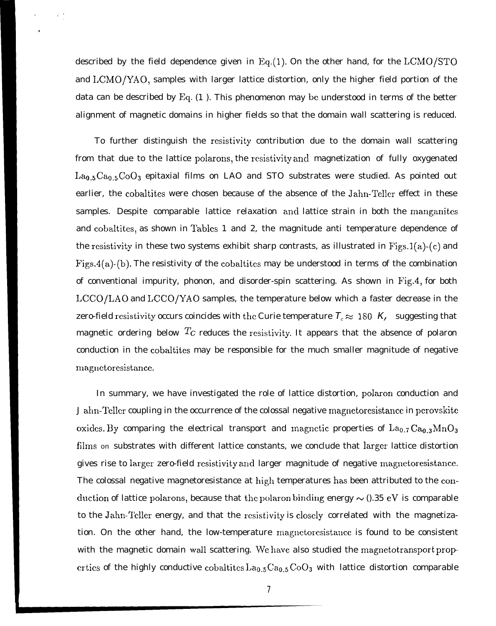described by the field dependence given in  $Eq.(1)$ . On the other hand, for the  $LCMO/STO$ and LCMO/YAO, samples with larger lattice distortion, only the higher field portion of the data can be described by Eq. (1 ). This phenomenon may be understood in terms of the better alignment of magnetic domains in higher fields so that the domain wall scattering is reduced.

To further distinguish the rcsistivity contribution due to the domain wall scattering from that due to the lattice polarons, the resistivity and magnetization of fully oxygenated  $La<sub>0.5</sub>Ca<sub>0.5</sub>CoO<sub>3</sub>$  epitaxial films on LAO and STO substrates were studied. As pointed out earlier, the cobaltites were chosen because of the absence of the Jahn-Teller effect in these samples. Despite comparable lattice relaxation and lattice strain in both the manganites and cobaltites, as shown in Tables 1 and 2, the magnitude anti temperature dependence of the resistivity in these two systems exhibit sharp contrasts, as illustrated in  $Figs.1(a)-(c)$  and Figs.4(a)-(b). The resistivity of the cobaltites may be understood in terms of the combination of conventional impurity, phonon, and disorder-spin scattering. As shown in Fig.4, for both LCCO/LAO and LCCO/YAO samples, the temperature below which a faster decrease in the zero-field resistivity occurs coincides with the Curie temperature  $T_c \approx 180\,K$ , suggesting that magnetic ordering below  $T_c$  reduces the resistivity. It appears that the absence of polaron conduction in the cobaltites may be responsible for the much smaller magnitude of negative magnetoresistance.

In summary, we have investigated the role of lattice distortion, polaron conduction and J ahn-Teller coupling in the occurrence of the colossal negative magnetoresistance in perovskite oxides. By comparing the electrical transport and magnetic properties of  $La_{0.7}Ca_{0.3}MnO_3$ films on substrates with different lattice constants, we conclude that larger lattice distortion gives rise to larger zero-field resistivity and larger magnitude of negative magnetoresistance. The colossal negative magnetoresistance at high temperatures has been attributed to the conduction of lattice polarons, because that the polaron binding energy  $\sim$  0.35 eV is comparable to the Jahn-Teller energy, and that the resistivity is closely correlated with the magnetization. On the other hand, the low-temperature rnagnetoresistancc is found to be consistent with the magnetic domain wall scattering. We have also studied the magnetotransport prop erties of the highly conductive cobaltites  $La_{0.5} Ca_{0.5} CoO_3$  with lattice distortion comparable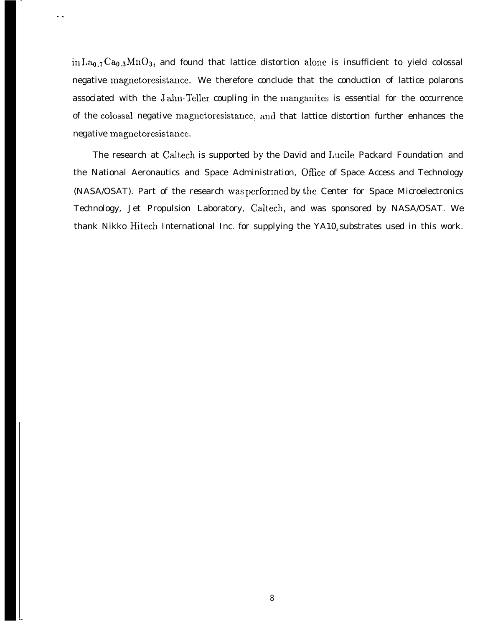in La<sub>0.7</sub> Ca<sub>0.3</sub>MnO<sub>3</sub>, and found that lattice distortion alone is insufficient to yield colossal negative magnetoresistance. We therefore conclude that the conduction of lattice polarons associated with the Jahn-Teller coupling in the manganites is essential for the occurrence of the colossal negative magnetoresistance, and that lattice distortion further enhances the negative magnetoresistance.

The research at Caltech is supported by the David and Lucile Packard Foundation and the National Aeronautics and Space Administration, Ofice of Space Access and Technology (NASA/OSAT). Part of the research was performed by the Center for Space Microelectronics Technology, Jet Propulsion Laboratory, Caltech, and was sponsored by NASA/OSAT. We thank Nikko Hitech International Inc. for supplying the YA10<sub>3</sub> substrates used in this work.

L

. .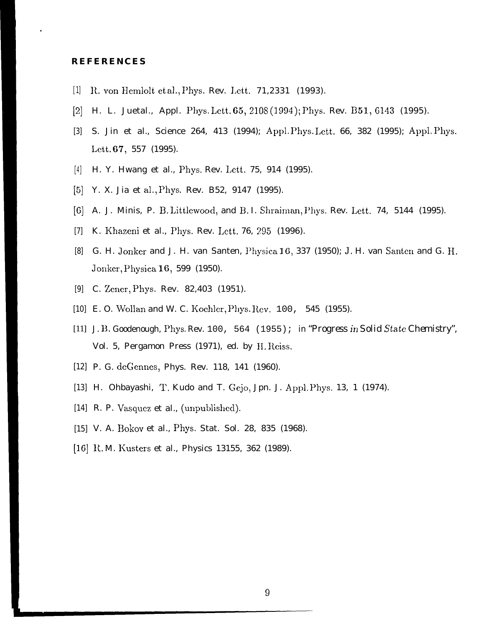## **REFERENCES**

- [1] R. von Hemlolt et al., Phys. Rev. Lett. 71,2331 (1993).
- [2] H. L. Juetal., Appl. Phys. Lctt. 65,210S (1994 ); Phys. Rev. B51.,6143 (1995).
- [3] S. Jin et al., Science 264, 413 (1994); Appl. Phys. Lett. 66, 382 (1995); Appl. Phys. Lett. 67, 557 (1995).
- [4] H. Y. Hwang et al., Phys. Rev. Lett. 75, 914 (1995).
- [5] Y. X. Jia et al,, Phys. Rev. B52, 9147 (1995).
- [6] A. J. Minis, P. B. Littlewoocl, and B. I. Shraiman, Phys. Rev. Lett. 74, 5144 (1995).
- [7] K. Khazeni et al., Phys. Rev. Lett. 76, 295 (1996).
- [8] G. H. Jonker and J. H. van Santen, I'hysica 16, 337 (1950); J, H. van Santen and G. H. Jonker, Physica 16, 599 (1950).
- [9] C. Zener, Phys. Rev. 82,403 (1951).
- [10] E. O. Wollan and W. C. Koehler, Phys. Rev. 100, 545 (1955).
- [11] J. B. Goodenough, Phys. Rev. 100, 564 (1955); in *"Progress in Solid State Chemistry"*, Vol. 5, Pergamon Press (1971), ed. by H. Reiss.
- [12] P. G. dcGennes, Phys. Rev. 118, 141 (1960).
- [13] H. Ohbayashi, T. Kudo and T. Gejo, Jpn. J. Appl. Phys. 13, 1 (1974).
- [14] R. P. Vasquez et al., (unpublished).
- [15] V. A. Bokov et al., Phys. Stat. Sol. 28, 835 (1968).
- [16] R.M. Kusters et al., Physics 13155, 362 (1989).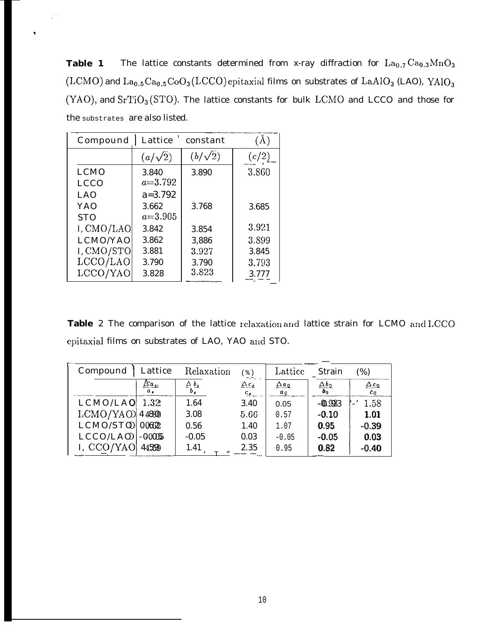The lattice constants determined from x-ray diffraction for  $La_{0.7}Ca_{0.3}MnO_3$ Table 1 (LCMO) and  $La_{0.5}Ca_{0.5}CoO_3(LCCO)$  epitaxial films on substrates of  $LaAlO_3$  (LAO),  $\text{YAlO}_3$ (YAO), and SrTiO<sub>3</sub>(STO). The lattice constants for bulk LCMO and LCCO and those for the substrates are also listed.

| Compound    | Lattice        | constant       | $(\check A)$ |
|-------------|----------------|----------------|--------------|
|             | $(a/\sqrt{2})$ | $(b/\sqrt{2})$ | (c/2)        |
| <b>LCMO</b> | 3.840          | 3.890          | 3.860        |
| <b>LCCO</b> | $a = 3.792$    |                |              |
| LAO         | $a = 3.792$    |                |              |
| YAO         | 3.662          | 3.768          | 3.685        |
| <b>STO</b>  | $a = 3.905$    |                |              |
| I, CMO/LAO  | 3.842          | 3.854          | 3.921        |
| LCMO/YAO    | 3.862          | 3,886          | 3.899        |
| I, CMO/STO  | 3.881          | 3.927          | 3.845        |
| LCCO/LAO    | 3.790          | 3.790          | 3.793        |
| LCCO/YAO    | 3.828          | 3.823          | 3.777        |

 $\varphi\rightarrow$ 

Table 2 The comparison of the lattice relaxation and lattice strain for LCMO and LCCO epitaxial films on substrates of LAO, YAO and STO.

| Compound          | Lattice                | Relaxation                    | $\frac{6}{6}$               | Lattice                      | <b>Strain</b>                | $(\%)$                |
|-------------------|------------------------|-------------------------------|-----------------------------|------------------------------|------------------------------|-----------------------|
|                   | $\Delta a_{\mu}$<br>α, | $\Delta b$ <sub>1</sub><br>ь. | $\Delta c$<br>$c_{\bullet}$ | $\Delta a_{\Omega}$<br>$a_0$ | $\Delta b_{\Omega}$<br>$b_0$ | $\Delta c_0$<br>$c_0$ |
| LCMO/LAO          | 1.32                   | 1.64                          | 3.40                        | 0.05                         | $-0.933$                     | 1.58                  |
| $LCMO/YAO$ 4.4830 |                        | 3.08                          | 5.66                        | 0.57                         | $-0.10$                      | 1.01                  |
| $LCMO/STQ$ 00622  |                        | 0.56                          | 1.40                        | 1.07                         | 0.95                         | $-0.39$               |
| $LCCO/LAO$ - 0005 |                        | $-0.05$                       | 0.03                        | $-0.05$                      | $-0.05$                      | 0.03                  |
| I, CCO/YAO        | 445590                 | 1.41<br>m.                    | 2.35                        | 0.95                         | 0.82                         | $-0.40$               |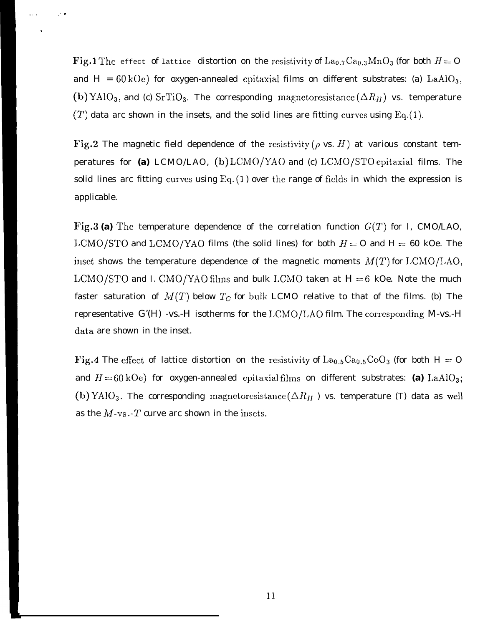Fig.1 The effect of lattice distortion on the resistivity of  $La_{0.7}Ca_{0.3}MnO_3$  (for both  $H = O$ and  $H = 60$  kOe) for oxygen-annealed cpitaxial films on different substrates: (a) LaAlO<sub>3</sub>, (b) YAlO<sub>3</sub>, and (c) SrTiO<sub>3</sub>. The corresponding magnetoresistance ( $\Delta R_H$ ) vs. temperature  $(T)$  data arc shown in the insets, and the solid lines are fitting curves using Eq.(1).

., , .

.

Fig.2 The magnetic field dependence of the resistivity ( $\rho$  vs. H) at various constant temperatures for (a) LCMO/LAO, (b) LCMO/YAO and (c) LCMO/STO epitaxial films. The solid lines arc fitting curves using  $Eq. (1)$  over the range of fields in which the expression is applicable.

Fig.3 (a) The temperature dependence of the correlation function  $G(T)$  for I, CMO/LAO, LCMO/STO and LCMO/YAO films (the solid lines) for both  $H = 0$  and  $H = 60$  kOe. The inset shows the temperature dependence of the magnetic moments  $M(T)$  for LCMO/LAO, LCMO/STO and I. CMO/YAO films and bulk LCMO taken at  $H=6$  kOe. Note the much faster saturation of  $M(T)$  below  $T_C$  for bulk LCMO relative to that of the films. (b) The representative *G'(H)* -vs.-H isotherms for the LCMO/LAO film. The corresponding *M*-vs.-H data are shown in the inset.

Fig.4 The effect of lattice distortion on the resistivity of  $La_{0.5}Ca_{0.5}CoO_3$  (for both H = O and  $H = 60$  kOe) for oxygen-annealed epitaxial films on different substrates: (a)  $\text{LaAlO}_3$ ; (b) YAlO<sub>3</sub>. The corresponding magnetoresistance  $(\Delta R_H)$  vs. temperature (T) data as well as the  $M$ -vs.- $T$  curve arc shown in the insets.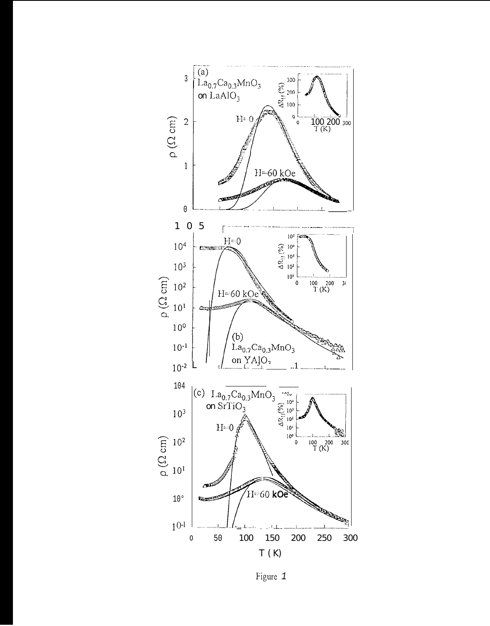

Figure 1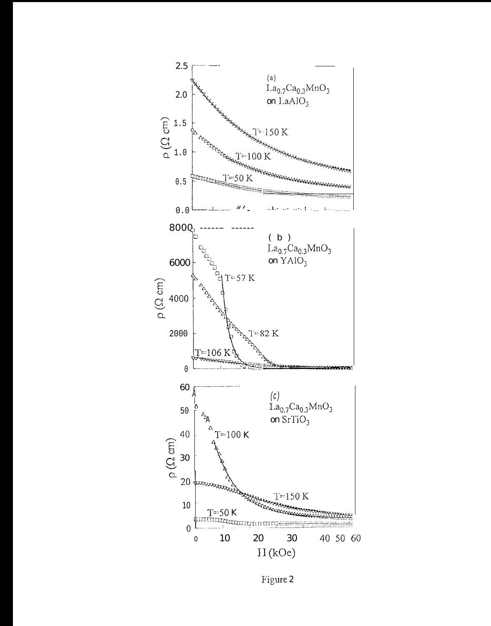

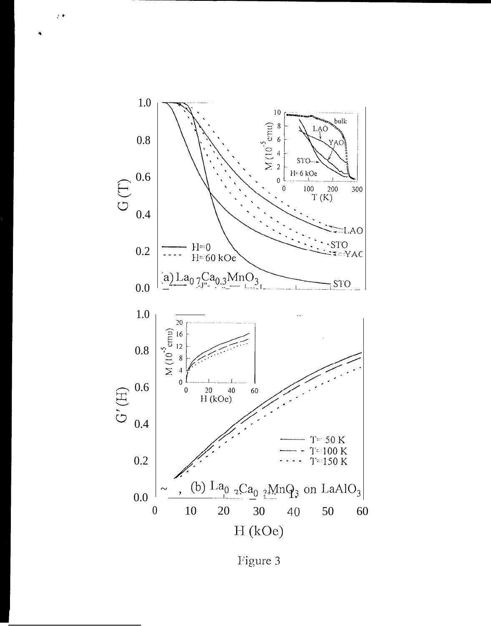

 $\bar{r}$  .

Figure 3